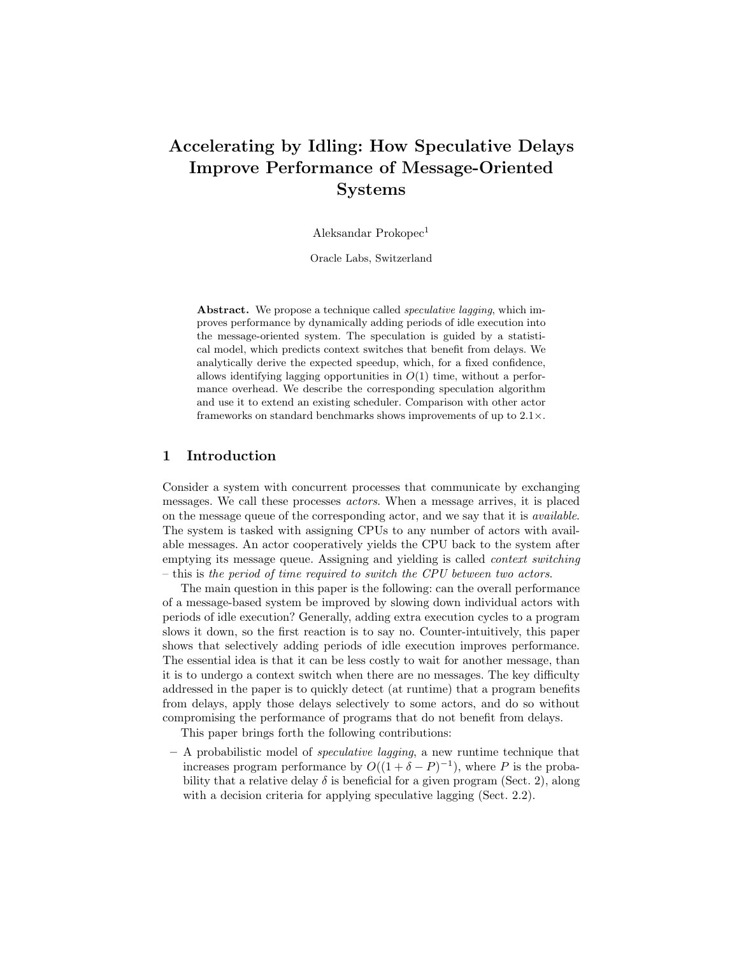# Accelerating by Idling: How Speculative Delays Improve Performance of Message-Oriented Systems

Aleksandar Prokopec<sup>1</sup>

Oracle Labs, Switzerland

Abstract. We propose a technique called *speculative lagging*, which improves performance by dynamically adding periods of idle execution into the message-oriented system. The speculation is guided by a statistical model, which predicts context switches that benefit from delays. We analytically derive the expected speedup, which, for a fixed confidence, allows identifying lagging opportunities in  $O(1)$  time, without a performance overhead. We describe the corresponding speculation algorithm and use it to extend an existing scheduler. Comparison with other actor frameworks on standard benchmarks shows improvements of up to 2.1×.

## 1 Introduction

Consider a system with concurrent processes that communicate by exchanging messages. We call these processes actors. When a message arrives, it is placed on the message queue of the corresponding actor, and we say that it is available. The system is tasked with assigning CPUs to any number of actors with available messages. An actor cooperatively yields the CPU back to the system after emptying its message queue. Assigning and yielding is called *context switching* – this is the period of time required to switch the CPU between two actors.

The main question in this paper is the following: can the overall performance of a message-based system be improved by slowing down individual actors with periods of idle execution? Generally, adding extra execution cycles to a program slows it down, so the first reaction is to say no. Counter-intuitively, this paper shows that selectively adding periods of idle execution improves performance. The essential idea is that it can be less costly to wait for another message, than it is to undergo a context switch when there are no messages. The key difficulty addressed in the paper is to quickly detect (at runtime) that a program benefits from delays, apply those delays selectively to some actors, and do so without compromising the performance of programs that do not benefit from delays.

This paper brings forth the following contributions:

 $- A$  probabilistic model of *speculative lagging*, a new runtime technique that increases program performance by  $O((1 + \delta - P)^{-1})$ , where P is the probability that a relative delay  $\delta$  is beneficial for a given program (Sect. 2), along with a decision criteria for applying speculative lagging (Sect. 2.2).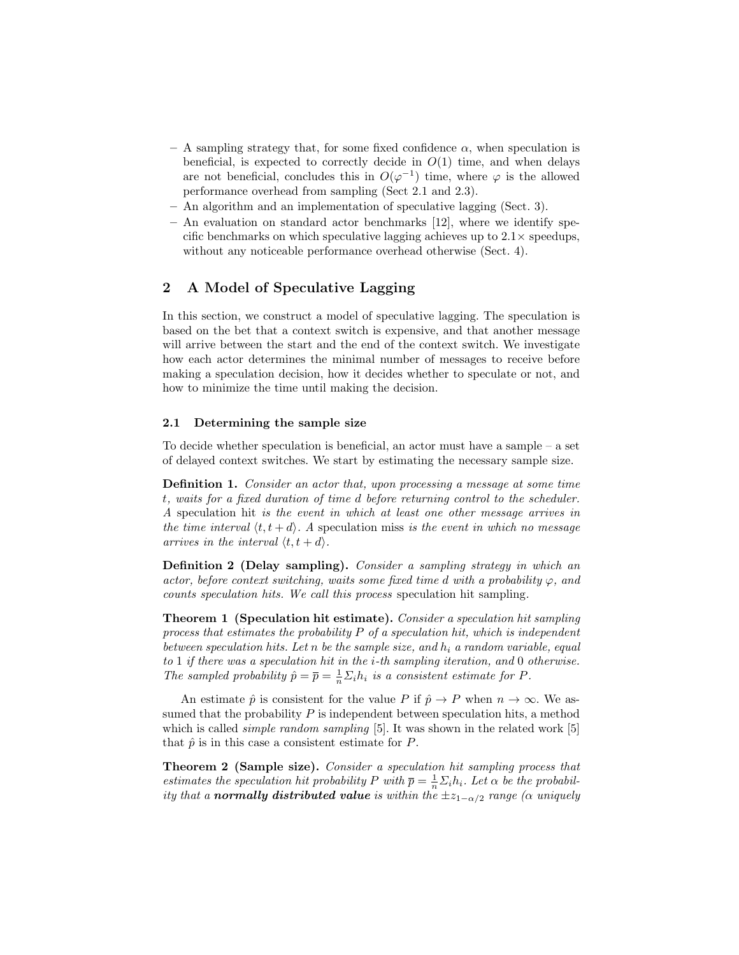- $-$  A sampling strategy that, for some fixed confidence  $\alpha$ , when speculation is beneficial, is expected to correctly decide in  $O(1)$  time, and when delays are not beneficial, concludes this in  $O(\varphi^{-1})$  time, where  $\varphi$  is the allowed performance overhead from sampling (Sect 2.1 and 2.3).
- An algorithm and an implementation of speculative lagging (Sect. 3).
- An evaluation on standard actor benchmarks [12], where we identify specific benchmarks on which speculative lagging achieves up to  $2.1 \times$  speedups, without any noticeable performance overhead otherwise (Sect. 4).

# 2 A Model of Speculative Lagging

In this section, we construct a model of speculative lagging. The speculation is based on the bet that a context switch is expensive, and that another message will arrive between the start and the end of the context switch. We investigate how each actor determines the minimal number of messages to receive before making a speculation decision, how it decides whether to speculate or not, and how to minimize the time until making the decision.

#### 2.1 Determining the sample size

To decide whether speculation is beneficial, an actor must have a sample – a set of delayed context switches. We start by estimating the necessary sample size.

Definition 1. Consider an actor that, upon processing a message at some time t, waits for a fixed duration of time d before returning control to the scheduler. A speculation hit is the event in which at least one other message arrives in the time interval  $\langle t, t + d \rangle$ . A speculation miss is the event in which no message arrives in the interval  $\langle t, t + d \rangle$ .

Definition 2 (Delay sampling). Consider a sampling strategy in which an actor, before context switching, waits some fixed time d with a probability  $\varphi$ , and counts speculation hits. We call this process speculation hit sampling.

Theorem 1 (Speculation hit estimate). Consider a speculation hit sampling process that estimates the probability  $P$  of a speculation hit, which is independent between speculation hits. Let n be the sample size, and  $h_i$  a random variable, equal to 1 if there was a speculation hit in the i-th sampling iteration, and 0 otherwise. The sampled probability  $\hat{p} = \overline{p} = \frac{1}{n} \sum_i h_i$  is a consistent estimate for P.

An estimate  $\hat{p}$  is consistent for the value P if  $\hat{p} \to P$  when  $n \to \infty$ . We assumed that the probability  $P$  is independent between speculation hits, a method which is called *simple random sampling* [5]. It was shown in the related work [5] that  $\hat{p}$  is in this case a consistent estimate for  $P$ .

Theorem 2 (Sample size). Consider a speculation hit sampling process that estimates the speculation hit probability P with  $\bar{p} = \frac{1}{n} \sum_i h_i$ . Let  $\alpha$  be the probability that a normally distributed value is within the  $\pm z_{1-\alpha/2}$  range ( $\alpha$  uniquely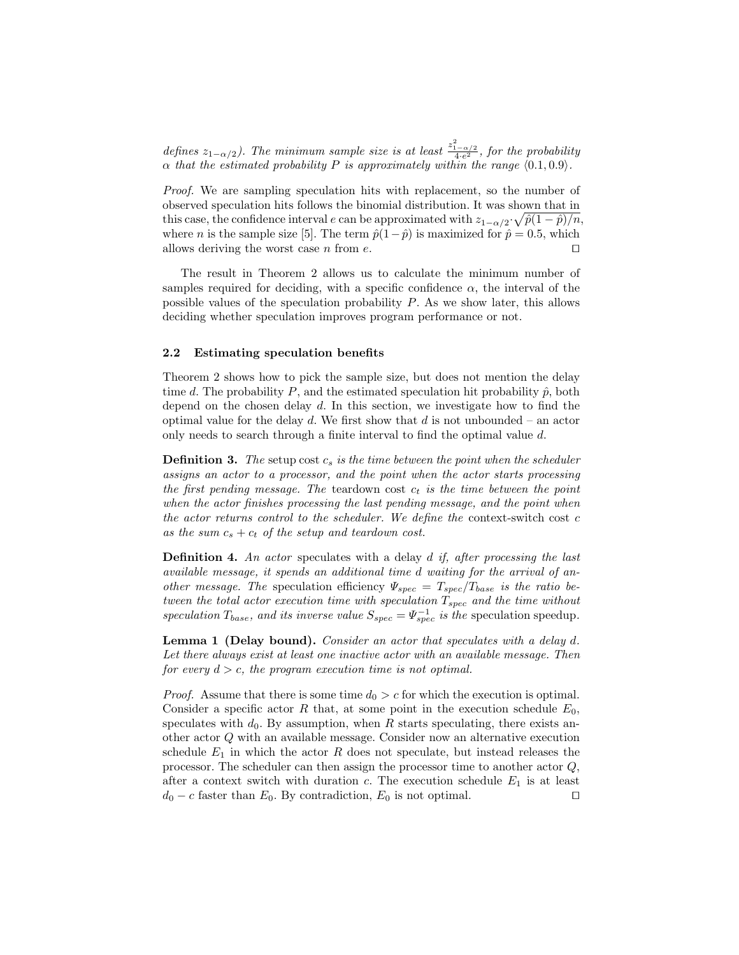defines  $z_{1-\alpha/2}$ ). The minimum sample size is at least  $\frac{z_{1-\alpha/2}^2}{4\cdot e^2}$ , for the probability  $\alpha$  that the estimated probability P is approximately within the range  $\langle 0.1, 0.9 \rangle$ .

Proof. We are sampling speculation hits with replacement, so the number of observed speculation hits follows the binomial distribution. It was shown that in this case, the confidence interval e can be approximated with  $z_{1-\alpha/2} \cdot \sqrt{\hat{p}(1-\hat{p})/n}$ , where *n* is the sample size [5]. The term  $\hat{p}(1-\hat{p})$  is maximized for  $\hat{p} = 0.5$ , which allows deriving the worst case n from e.  $\Box$ 

The result in Theorem 2 allows us to calculate the minimum number of samples required for deciding, with a specific confidence  $\alpha$ , the interval of the possible values of the speculation probability P. As we show later, this allows deciding whether speculation improves program performance or not.

#### 2.2 Estimating speculation benefits

Theorem 2 shows how to pick the sample size, but does not mention the delay time d. The probability P, and the estimated speculation hit probability  $\hat{p}$ , both depend on the chosen delay  $d$ . In this section, we investigate how to find the optimal value for the delay d. We first show that  $d$  is not unbounded – an actor only needs to search through a finite interval to find the optimal value d.

**Definition 3.** The setup cost  $c_s$  is the time between the point when the scheduler assigns an actor to a processor, and the point when the actor starts processing the first pending message. The teardown cost  $c_t$  is the time between the point when the actor finishes processing the last pending message, and the point when the actor returns control to the scheduler. We define the context-switch cost c as the sum  $c_s + c_t$  of the setup and teardown cost.

**Definition 4.** An actor speculates with a delay d if, after processing the last available message, it spends an additional time d waiting for the arrival of another message. The speculation efficiency  $\Psi_{spec} = T_{spec}/T_{base}$  is the ratio between the total actor execution time with speculation  $T_{spec}$  and the time without speculation  $T_{base}$ , and its inverse value  $S_{spec} = \Psi_{spec}^{-1}$  is the speculation speedup.

Lemma 1 (Delay bound). Consider an actor that speculates with a delay d. Let there always exist at least one inactive actor with an available message. Then for every  $d > c$ , the program execution time is not optimal.

*Proof.* Assume that there is some time  $d_0 > c$  for which the execution is optimal. Consider a specific actor R that, at some point in the execution schedule  $E_0$ , speculates with  $d_0$ . By assumption, when R starts speculating, there exists another actor Q with an available message. Consider now an alternative execution schedule  $E_1$  in which the actor R does not speculate, but instead releases the processor. The scheduler can then assign the processor time to another actor  $Q$ , after a context switch with duration  $c$ . The execution schedule  $E_1$  is at least  $d_0 - c$  faster than  $E_0$ . By contradiction,  $E_0$  is not optimal.  $\square$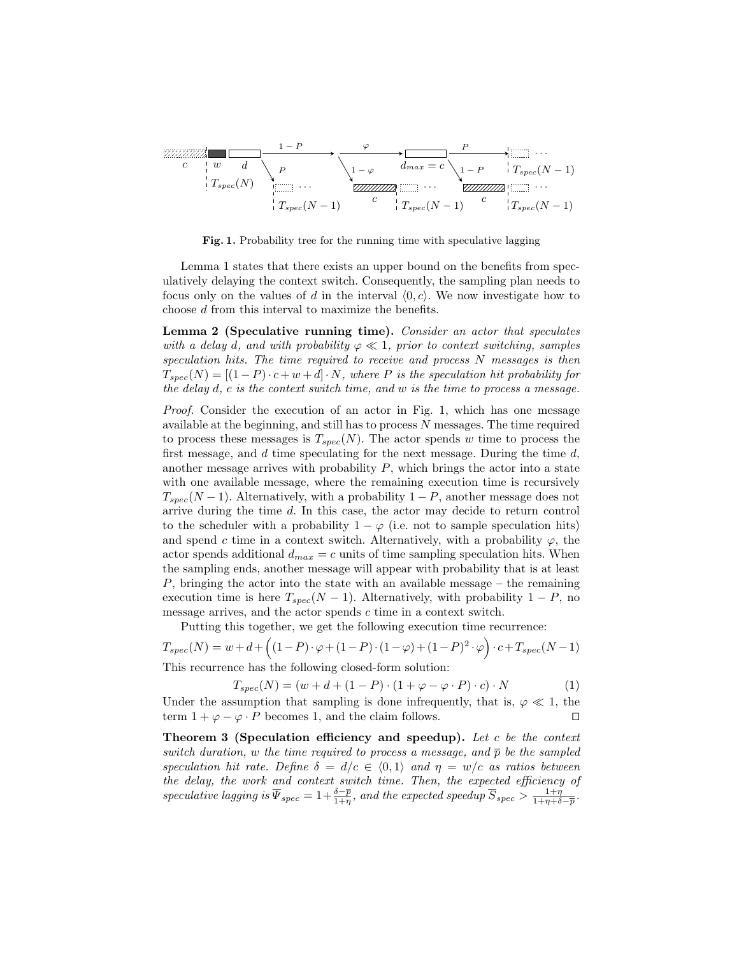$$
\mathbb{Z}\left[\mathbb{Z}\left[\mathbb{Z}\left[N\right]\right]\right] \longrightarrow \mathbb{Z}\left[\mathbb{Z}\left[\mathbb{Z}\left[N\right]\right]\right] \longrightarrow \mathbb{Z}\left[\mathbb{Z}\left[\mathbb{Z}\left[N\right]\right]\right] \longrightarrow \mathbb{Z}\left[\mathbb{Z}\left[\mathbb{Z}\left[\mathbb{Z}\left[N\right]\right]\right]\right] \longrightarrow \mathbb{Z}\left[\mathbb{Z}\left[\mathbb{Z}\left[\mathbb{Z}\left[N\right]\right]\right] \longrightarrow \mathbb{Z}\left[\mathbb{Z}\left[\mathbb{Z}\left[N\right]\right]\right] \longrightarrow \mathbb{Z}\left[\mathbb{Z}\left[\mathbb{Z}\left[\mathbb{Z}\left[\mathbb{Z}\left[\mathbb{Z}\left[\mathbb{Z}\left[\mathbb{Z}\left[\mathbb{Z}\left[\mathbb{Z}\left[\mathbb{Z}\left[\mathbb{Z}\left[\mathbb{Z}\left[\mathbb{Z}\left[\mathbb{Z}\left[\mathbb{Z}\left[\mathbb{Z}\left[\mathbb{Z}\left[\mathbb{Z}\left[\mathbb{Z}\left[\mathbb{Z}\left[\mathbb{Z}\left[\mathbb{Z}\left[\mathbb{Z}\left[\mathbb{Z}\left[\mathbb{Z}\left[\mathbb{Z}\left[\mathbb{Z}\left[\mathbb{Z}\left[\mathbb{Z}\left[\mathbb{Z}\left[\mathbb{Z}\left[\mathbb{Z}\left[\mathbb{Z}\left[\mathbb{Z}\left[\mathbb{Z}\left[\mathbb{Z}\left[\mathbb{Z}\left[\mathbb{Z}\left[\mathbb{Z}\left[\mathbb{Z}\left[\mathbb{Z}\left[\mathbb{Z}\left[\mathbb{Z}\left[\mathbb{Z}\left[\mathbb{Z}\left[\mathbb{Z}\left[\mathbb{Z}\left[\mathbb{Z}\left[\mathbb{Z}\left[\mathbb{Z}\left[\mathbb{Z}\left[\mathbb{Z}\left[\mathbb{Z}\left[\mathbb{Z}\left[\mathbb{Z}\left[\mathbb{Z}\left[\mathbb{Z}\left[\mathbb{Z}\left[\mathbb{Z}\left[\mathbb{Z}\left[\mathbb{Z}\left[\mathbb{Z}\left[\mathbb{Z}\left[\mathbb{Z}\left[\mathbb{Z}\left[\mathbb{Z}\left[\mathbb{Z}\left[\mathbb{Z}\left[\mathbb{Z}\left[\mathbb{Z}\left[\mathbb{Z}\left[\mathbb{Z}\left[\mathbb{Z}\left[\mathbb{Z}\left[\mathbb{Z}\left[\mathbb{Z}\left[\mathbb{Z}\left[\mathbb{Z}\left[\mathbb{Z
$$

Fig. 1. Probability tree for the running time with speculative lagging

Lemma 1 states that there exists an upper bound on the benefits from speculatively delaying the context switch. Consequently, the sampling plan needs to focus only on the values of d in the interval  $(0, c)$ . We now investigate how to choose d from this interval to maximize the benefits.

Lemma 2 (Speculative running time). Consider an actor that speculates with a delay d, and with probability  $\varphi \ll 1$ , prior to context switching, samples speculation hits. The time required to receive and process N messages is then  $T_{spec}(N) = [(1 - P) \cdot c + w + d] \cdot N$ , where P is the speculation hit probability for the delay d, c is the context switch time, and w is the time to process a message.

Proof. Consider the execution of an actor in Fig. 1, which has one message available at the beginning, and still has to process N messages. The time required to process these messages is  $T_{spec}(N)$ . The actor spends w time to process the first message, and  $d$  time speculating for the next message. During the time  $d$ , another message arrives with probability  $P$ , which brings the actor into a state with one available message, where the remaining execution time is recursively  $T_{spec}(N-1)$ . Alternatively, with a probability  $1-P$ , another message does not arrive during the time d. In this case, the actor may decide to return control to the scheduler with a probability  $1 - \varphi$  (i.e. not to sample speculation hits) and spend c time in a context switch. Alternatively, with a probability  $\varphi$ , the actor spends additional  $d_{max} = c$  units of time sampling speculation hits. When the sampling ends, another message will appear with probability that is at least P, bringing the actor into the state with an available message – the remaining execution time is here  $T_{spec}(N-1)$ . Alternatively, with probability  $1 - P$ , no message arrives, and the actor spends c time in a context switch.

Putting this together, we get the following execution time recurrence:

$$
T_{spec}(N) = w + d + \left( (1 - P) \cdot \varphi + (1 - P) \cdot (1 - \varphi) + (1 - P)^2 \cdot \varphi \right) \cdot c + T_{spec}(N - 1)
$$

This recurrence has the following closed-form solution:

$$
T_{spec}(N) = (w + d + (1 - P) \cdot (1 + \varphi - \varphi \cdot P) \cdot c) \cdot N \tag{1}
$$

Under the assumption that sampling is done infrequently, that is,  $\varphi \ll 1$ , the term  $1 + \varphi - \varphi \cdot P$  becomes 1, and the claim follows.

Theorem 3 (Speculation efficiency and speedup). Let c be the context switch duration, w the time required to process a message, and  $\bar{p}$  be the sampled speculation hit rate. Define  $\delta = d/c \in \langle 0, 1 \rangle$  and  $\eta = w/c$  as ratios between the delay, the work and context switch time. Then, the expected efficiency of speculative lagging is  $\overline{\Psi}_{spec} = 1 + \frac{\delta - \overline{p}}{1 + \eta}$ , and the expected speedup  $\overline{S}_{spec} > \frac{1 + \eta}{1 + \eta + \delta - \overline{p}}$ .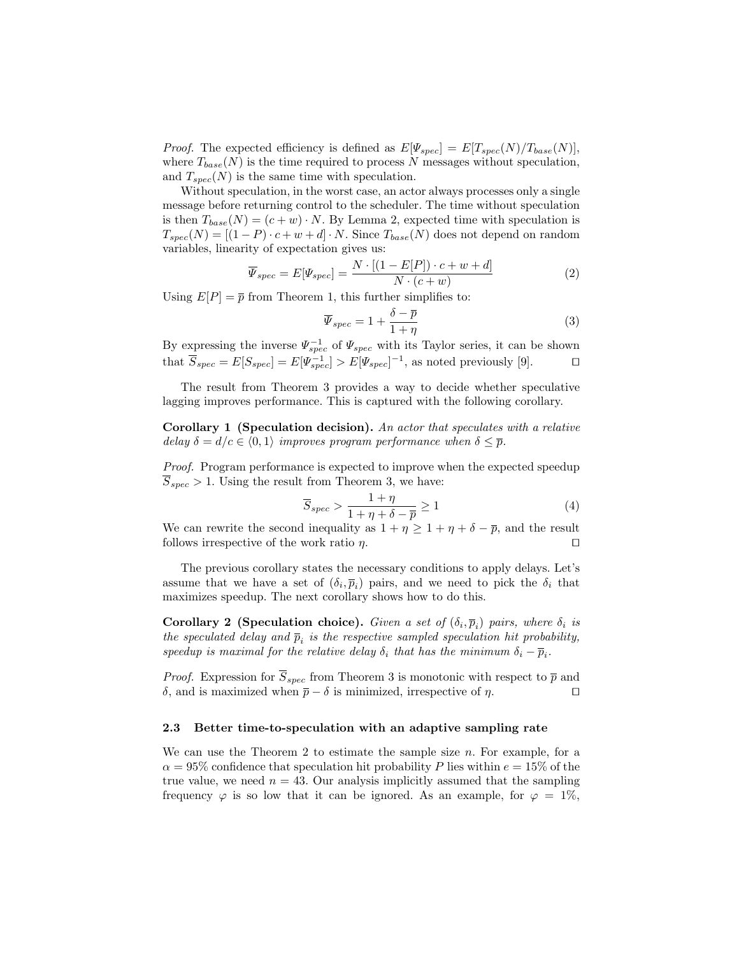*Proof.* The expected efficiency is defined as  $E[\Psi_{spec}] = E[T_{spec}(N)/T_{base}(N)]$ , where  $T_{base}(N)$  is the time required to process N messages without speculation, and  $T_{spec}(N)$  is the same time with speculation.

Without speculation, in the worst case, an actor always processes only a single message before returning control to the scheduler. The time without speculation is then  $T_{base}(N) = (c + w) \cdot N$ . By Lemma 2, expected time with speculation is  $T_{spec}(N) = [(1 - P) \cdot c + w + d] \cdot N$ . Since  $T_{base}(N)$  does not depend on random variables, linearity of expectation gives us:

$$
\overline{\Psi}_{spec} = E[\Psi_{spec}] = \frac{N \cdot [(1 - E[P]) \cdot c + w + d]}{N \cdot (c + w)}
$$
\n(2)

Using  $E[P] = \overline{p}$  from Theorem 1, this further simplifies to:

$$
\overline{\Psi}_{spec} = 1 + \frac{\delta - \overline{p}}{1 + \eta} \tag{3}
$$

By expressing the inverse  $\Psi^{-1}_{spec}$  of  $\Psi_{spec}$  with its Taylor series, it can be shown that  $\overline{S}_{spec} = E[S_{spec}] = E[\Psi_{spec}^{-1}] > E[\Psi_{spec}]^{-1}$ , as noted previously [9].

The result from Theorem 3 provides a way to decide whether speculative lagging improves performance. This is captured with the following corollary.

Corollary 1 (Speculation decision). An actor that speculates with a relative delay  $\delta = d/c \in (0, 1)$  improves program performance when  $\delta \leq \overline{p}$ .

Proof. Program performance is expected to improve when the expected speedup  $S_{spec} > 1$ . Using the result from Theorem 3, we have:

$$
\overline{S}_{spec} > \frac{1+\eta}{1+\eta+\delta-\overline{p}} \ge 1
$$
\n(4)

We can rewrite the second inequality as  $1 + \eta \geq 1 + \eta + \delta - \overline{p}$ , and the result follows irrespective of the work ratio  $\eta$ .

The previous corollary states the necessary conditions to apply delays. Let's assume that we have a set of  $(\delta_i, \overline{p}_i)$  pairs, and we need to pick the  $\delta_i$  that maximizes speedup. The next corollary shows how to do this.

Corollary 2 (Speculation choice). Given a set of  $(\delta_i, \overline{p}_i)$  pairs, where  $\delta_i$  is the speculated delay and  $\bar{p}_i$  is the respective sampled speculation hit probability, speedup is maximal for the relative delay  $\delta_i$  that has the minimum  $\delta_i - \overline{p}_i$ .

*Proof.* Expression for  $\overline{S}_{spec}$  from Theorem 3 is monotonic with respect to  $\overline{p}$  and δ, and is maximized when  $\bar{p}$  − δ is minimized, irrespective of η.  $\Box$ 

#### 2.3 Better time-to-speculation with an adaptive sampling rate

We can use the Theorem 2 to estimate the sample size  $n$ . For example, for a  $\alpha = 95\%$  confidence that speculation hit probability P lies within  $e = 15\%$  of the true value, we need  $n = 43$ . Our analysis implicitly assumed that the sampling frequency  $\varphi$  is so low that it can be ignored. As an example, for  $\varphi = 1\%$ ,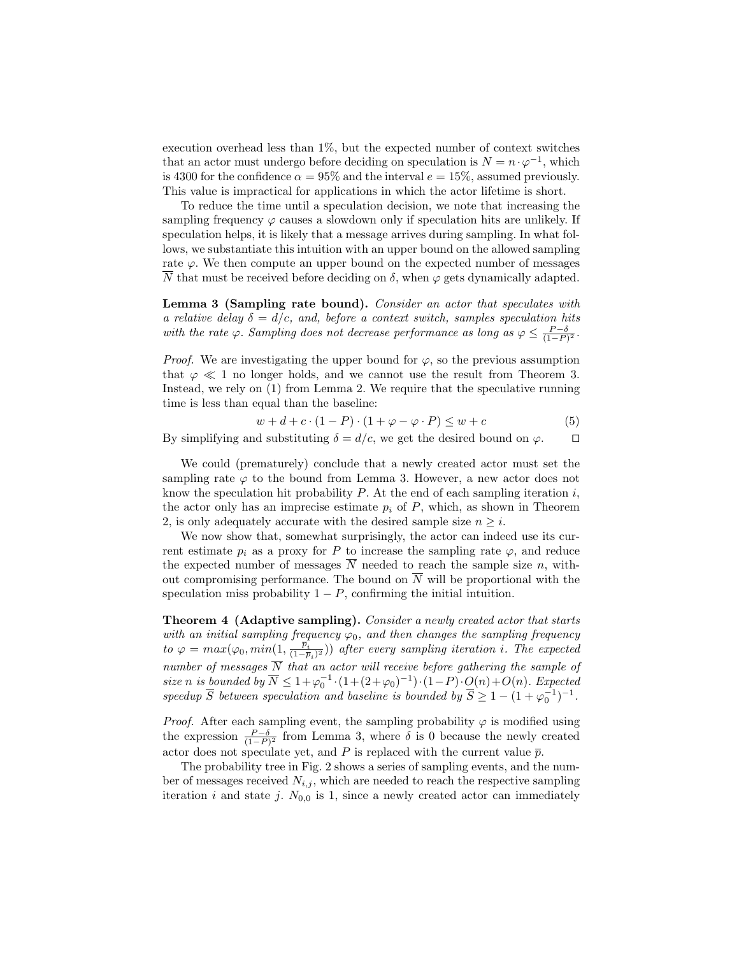execution overhead less than 1%, but the expected number of context switches that an actor must undergo before deciding on speculation is  $N = n \cdot \varphi^{-1}$ , which is 4300 for the confidence  $\alpha = 95\%$  and the interval  $e = 15\%$ , assumed previously. This value is impractical for applications in which the actor lifetime is short.

To reduce the time until a speculation decision, we note that increasing the sampling frequency  $\varphi$  causes a slowdown only if speculation hits are unlikely. If speculation helps, it is likely that a message arrives during sampling. In what follows, we substantiate this intuition with an upper bound on the allowed sampling rate  $\varphi$ . We then compute an upper bound on the expected number of messages  $\overline{N}$  that must be received before deciding on  $\delta$ , when  $\varphi$  gets dynamically adapted.

Lemma 3 (Sampling rate bound). Consider an actor that speculates with a relative delay  $\delta = d/c$ , and, before a context switch, samples speculation hits with the rate  $\varphi$ . Sampling does not decrease performance as long as  $\varphi \leq \frac{P-\delta}{(1-P)^2}$ .

*Proof.* We are investigating the upper bound for  $\varphi$ , so the previous assumption that  $\varphi \ll 1$  no longer holds, and we cannot use the result from Theorem 3. Instead, we rely on (1) from Lemma 2. We require that the speculative running time is less than equal than the baseline:

$$
w + d + c \cdot (1 - P) \cdot (1 + \varphi - \varphi \cdot P) \le w + c \tag{5}
$$

By simplifying and substituting  $\delta = d/c$ , we get the desired bound on  $\varphi$ .  $\square$ 

We could (prematurely) conclude that a newly created actor must set the sampling rate  $\varphi$  to the bound from Lemma 3. However, a new actor does not know the speculation hit probability  $P$ . At the end of each sampling iteration i, the actor only has an imprecise estimate  $p_i$  of  $P$ , which, as shown in Theorem 2, is only adequately accurate with the desired sample size  $n \geq i$ .

We now show that, somewhat surprisingly, the actor can indeed use its current estimate  $p_i$  as a proxy for P to increase the sampling rate  $\varphi$ , and reduce the expected number of messages  $\overline{N}$  needed to reach the sample size n, without compromising performance. The bound on  $\overline{N}$  will be proportional with the speculation miss probability  $1 - P$ , confirming the initial intuition.

Theorem 4 (Adaptive sampling). Consider a newly created actor that starts with an initial sampling frequency  $\varphi_0$ , and then changes the sampling frequency to  $\varphi = max(\varphi_0, min(1, \frac{\overline{p}_i}{(1-\overline{n})})$  $\frac{p_i}{(1-\overline{p}_i)^2})$  after every sampling iteration i. The expected number of messages N that an actor will receive before gathering the sample of size n is bounded by  $\overline{N} \leq 1 + \varphi_0^{-1} \cdot (1 + (2 + \varphi_0)^{-1}) \cdot (1 - P) \cdot O(n) + O(n)$ . Expected speedup  $\overline{S}$  between speculation and baseline is bounded by  $\overline{S} \geq 1 - (1 + \varphi_0^{-1})^{-1}$ .

*Proof.* After each sampling event, the sampling probability  $\varphi$  is modified using the expression  $\frac{P-\delta}{(1-P)^2}$  from Lemma 3, where  $\delta$  is 0 because the newly created actor does not speculate yet, and P is replaced with the current value  $\bar{p}$ .

The probability tree in Fig. 2 shows a series of sampling events, and the number of messages received  $N_{i,j}$ , which are needed to reach the respective sampling iteration i and state j.  $N_{0,0}$  is 1, since a newly created actor can immediately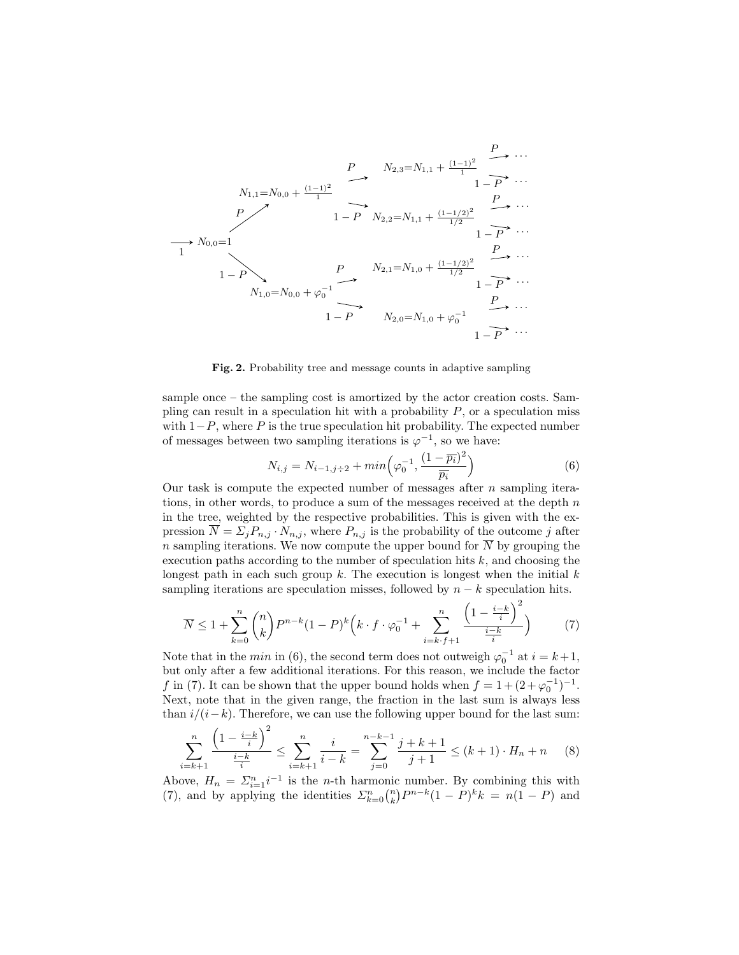$$
N_{1,1} = N_{0,0} + \frac{(1-1)^2}{1}
$$
\n
$$
P
$$
\n
$$
N_{2,3} = N_{1,1} + \frac{(1-1)^2}{1}
$$
\n
$$
1 - P
$$
\n
$$
N_{2,2} = N_{1,1} + \frac{(1-1/2)^2}{1/2}
$$
\n
$$
1 - P
$$
\n
$$
N_{2,1} = N_{1,0} + \frac{(1-1/2)^2}{1/2}
$$
\n
$$
1 - P
$$
\n
$$
N_{1,0} = N_{0,0} + \varphi_0^{-1}
$$
\n
$$
1 - P
$$
\n
$$
N_{2,0} = N_{1,0} + \varphi_0^{-1}
$$
\n
$$
1 - P
$$
\n
$$
N_{2,0} = N_{1,0} + \varphi_0^{-1}
$$
\n
$$
1 - P
$$
\n
$$
N_{1,0} = N_{0,0} + \varphi_0^{-1}
$$
\n
$$
1 - P
$$
\n
$$
N_{2,0} = N_{1,0} + \varphi_0^{-1}
$$
\n
$$
1 - P
$$

Fig. 2. Probability tree and message counts in adaptive sampling

sample once – the sampling cost is amortized by the actor creation costs. Sampling can result in a speculation hit with a probability  $P$ , or a speculation miss with  $1-P$ , where P is the true speculation hit probability. The expected number of messages between two sampling iterations is  $\varphi^{-1}$ , so we have:

$$
N_{i,j} = N_{i-1,j+2} + \min\left(\varphi_0^{-1}, \frac{(1-\overline{p_i})^2}{\overline{p_i}}\right)
$$
 (6)

Our task is compute the expected number of messages after  $n$  sampling iterations, in other words, to produce a sum of the messages received at the depth  $n$ in the tree, weighted by the respective probabilities. This is given with the expression  $\overline{N} = \sum_j P_{n,j} \cdot N_{n,j}$ , where  $P_{n,j}$  is the probability of the outcome j after n sampling iterations. We now compute the upper bound for  $\overline{N}$  by grouping the execution paths according to the number of speculation hits  $k$ , and choosing the longest path in each such group  $k$ . The execution is longest when the initial  $k$ sampling iterations are speculation misses, followed by  $n - k$  speculation hits.

$$
\overline{N} \le 1 + \sum_{k=0}^{n} \binom{n}{k} P^{n-k} (1-P)^k \left( k \cdot f \cdot \varphi_0^{-1} + \sum_{i=k \cdot f+1}^{n} \frac{\left( 1 - \frac{i-k}{i} \right)^2}{\frac{i-k}{i}} \right) \tag{7}
$$

Note that in the *min* in (6), the second term does not outweigh  $\varphi_0^{-1}$  at  $i = k + 1$ , but only after a few additional iterations. For this reason, we include the factor f in (7). It can be shown that the upper bound holds when  $f = 1 + (2 + \varphi_0^{-1})^{-1}$ . Next, note that in the given range, the fraction in the last sum is always less than  $i/(i-k)$ . Therefore, we can use the following upper bound for the last sum:

$$
\sum_{i=k+1}^{n} \frac{\left(1 - \frac{i-k}{i}\right)^2}{\frac{i-k}{i}} \le \sum_{i=k+1}^{n} \frac{i}{i-k} = \sum_{j=0}^{n-k-1} \frac{j+k+1}{j+1} \le (k+1) \cdot H_n + n \tag{8}
$$

Above,  $H_n = \sum_{i=1}^n i^{-1}$  is the *n*-th harmonic number. By combining this with (7), and by applying the identities  $\sum_{k=0}^n \binom{n}{k} P^{n-k} (1-P)^k k = n(1-P)$  and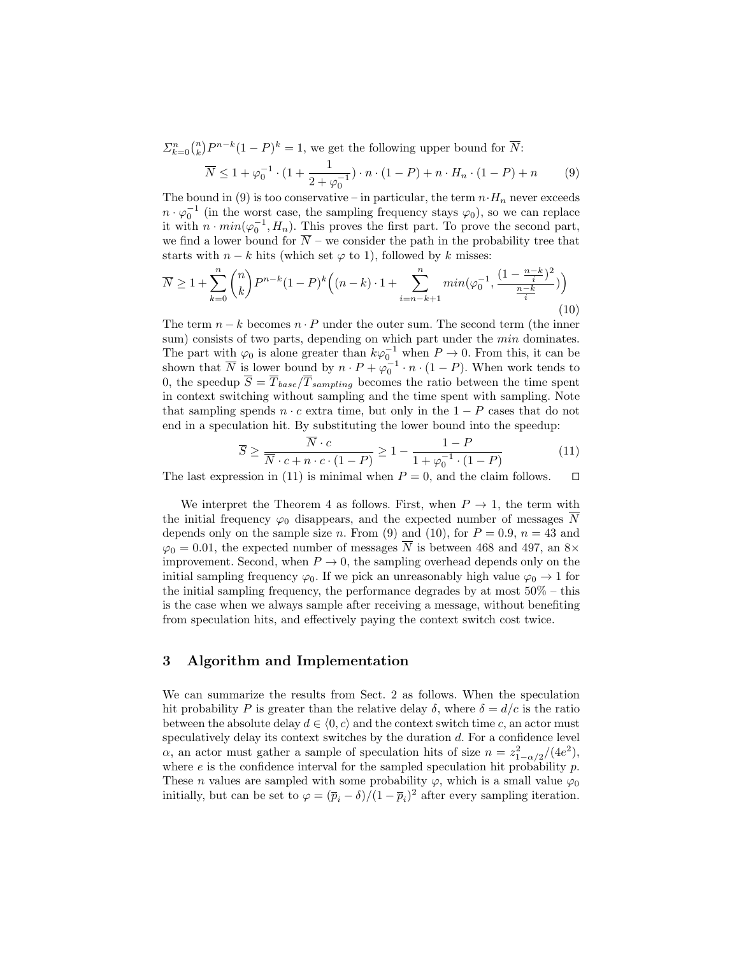$\sum_{k=0}^{n} {n \choose k} P^{n-k} (1-P)^k = 1$ , we get the following upper bound for  $\overline{N}$ :

$$
\overline{N} \le 1 + \varphi_0^{-1} \cdot (1 + \frac{1}{2 + \varphi_0^{-1}}) \cdot n \cdot (1 - P) + n \cdot H_n \cdot (1 - P) + n \tag{9}
$$

The bound in (9) is too conservative – in particular, the term  $n \cdot H_n$  never exceeds  $n \cdot \varphi_0^{-1}$  (in the worst case, the sampling frequency stays  $\varphi_0$ ), so we can replace it with  $n \cdot min(\varphi_0^{-1}, H_n)$ . This proves the first part. To prove the second part, we find a lower bound for  $\overline{N}$  – we consider the path in the probability tree that starts with  $n - k$  hits (which set  $\varphi$  to 1), followed by k misses:

$$
\overline{N} \ge 1 + \sum_{k=0}^{n} {n \choose k} P^{n-k} (1-P)^k \Big( (n-k) \cdot 1 + \sum_{i=n-k+1}^{n} \min(\varphi_0^{-1}, \frac{(1-\frac{n-k}{i})^2}{\frac{n-k}{i}}) \Big) \tag{10}
$$

The term  $n - k$  becomes  $n \cdot P$  under the outer sum. The second term (the inner sum) consists of two parts, depending on which part under the *min* dominates. The part with  $\varphi_0$  is alone greater than  $k\varphi_0^{-1}$  when  $P\to 0$ . From this, it can be shown that  $\overline{N}$  is lower bound by  $n \cdot P + \varphi_0^{-1} \cdot n \cdot (1 - P)$ . When work tends to 0, the speedup  $\overline{S} = \overline{T}_{base}/\overline{T}_{sampling}$  becomes the ratio between the time spent in context switching without sampling and the time spent with sampling. Note that sampling spends  $n \cdot c$  extra time, but only in the  $1 - P$  cases that do not end in a speculation hit. By substituting the lower bound into the speedup:

$$
\overline{S} \ge \frac{N \cdot c}{\overline{N} \cdot c + n \cdot c \cdot (1 - P)} \ge 1 - \frac{1 - P}{1 + \varphi_0^{-1} \cdot (1 - P)}\tag{11}
$$

The last expression in (11) is minimal when  $P = 0$ , and the claim follows.  $\square$ 

We interpret the Theorem 4 as follows. First, when  $P \to 1$ , the term with the initial frequency  $\varphi_0$  disappears, and the expected number of messages  $\overline{N}$ depends only on the sample size n. From (9) and (10), for  $P = 0.9$ ,  $n = 43$  and  $\varphi_0 = 0.01$ , the expected number of messages  $\overline{N}$  is between 468 and 497, an 8× improvement. Second, when  $P \to 0$ , the sampling overhead depends only on the initial sampling frequency  $\varphi_0$ . If we pick an unreasonably high value  $\varphi_0 \to 1$  for the initial sampling frequency, the performance degrades by at most  $50\%$  – this is the case when we always sample after receiving a message, without benefiting from speculation hits, and effectively paying the context switch cost twice.

### 3 Algorithm and Implementation

We can summarize the results from Sect. 2 as follows. When the speculation hit probability P is greater than the relative delay  $\delta$ , where  $\delta = d/c$  is the ratio between the absolute delay  $d \in (0, c)$  and the context switch time c, an actor must speculatively delay its context switches by the duration d. For a confidence level  $\alpha$ , an actor must gather a sample of speculation hits of size  $n = z_{1-\alpha/2}^2/(4e^2)$ , where  $e$  is the confidence interval for the sampled speculation hit probability  $p$ . These *n* values are sampled with some probability  $\varphi$ , which is a small value  $\varphi_0$ initially, but can be set to  $\varphi = (\bar{p}_i - \delta)/(1 - \bar{p}_i)^2$  after every sampling iteration.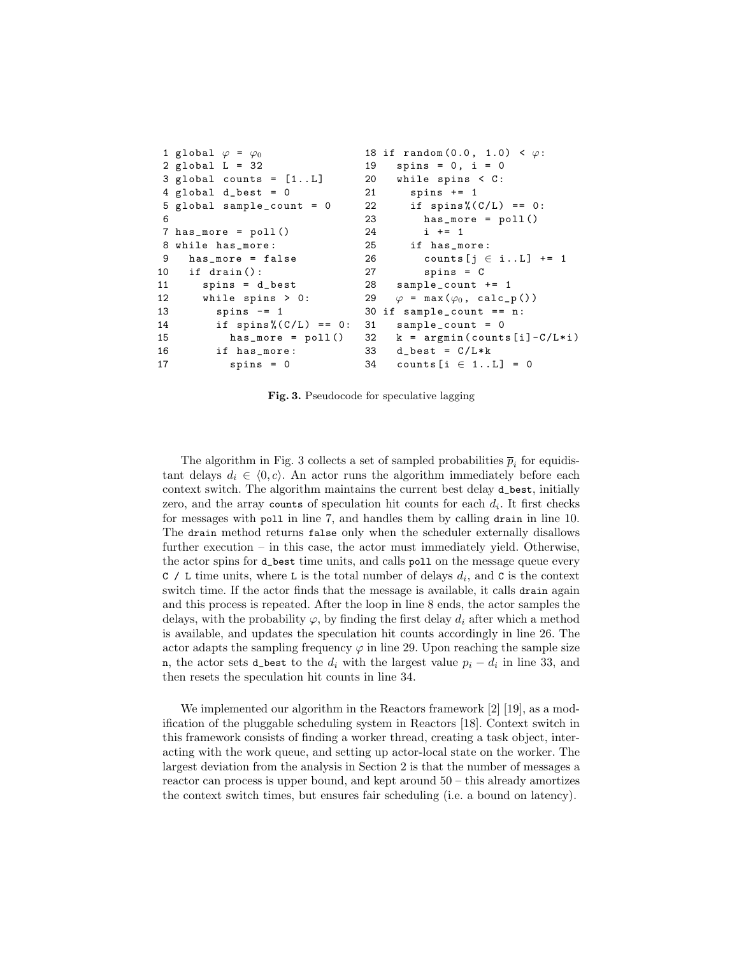```
1 global \varphi = \varphi_02 global L = 323 global counts = [1..L]4 global d_{best} = 05 global sample_count = 0
6
7 has_more = poll ()
8 while has_more :
9 has_more = false
10 if drain () :
11 spins = d_best
12 while spins > 0:
13 spins -= 1
14 if spins((C/L) == 0):
15 has_more = poll ()
16 if has_more :
17 spins = 0
                               18 if random (0.0, 1.0) < \varphi:
                               19 spins = 0, i = 020 while spins < C:
                               21 spins += 122 if spins((C/L) == 0:23 has_more = poll ()
                               24 i += 1
                               25 if has_more :
                               26 counts [j \in i..L] += 1
                               27 spins = C
                               28 sample_count += 129 \varphi = \max(\varphi_0, \text{ calc}_p())30 if sample_count == n:
                               31 sample_count = 0
                               32 \quad k = \text{argmin} (counts[i] - C/L * i)33 d_best = C/L*k<br>34 counts i \in 1...counts[i \in 1..L] = 0
```
Fig. 3. Pseudocode for speculative lagging

The algorithm in Fig. 3 collects a set of sampled probabilities  $\bar{p}_i$  for equidistant delays  $d_i \in \langle 0, c \rangle$ . An actor runs the algorithm immediately before each context switch. The algorithm maintains the current best delay d\_best, initially zero, and the array counts of speculation hit counts for each  $d_i$ . It first checks for messages with poll in line 7, and handles them by calling drain in line 10. The drain method returns false only when the scheduler externally disallows further execution – in this case, the actor must immediately yield. Otherwise, the actor spins for d\_best time units, and calls poll on the message queue every  $C$  / L time units, where L is the total number of delays  $d_i$ , and C is the context switch time. If the actor finds that the message is available, it calls drain again and this process is repeated. After the loop in line 8 ends, the actor samples the delays, with the probability  $\varphi$ , by finding the first delay  $d_i$  after which a method is available, and updates the speculation hit counts accordingly in line 26. The actor adapts the sampling frequency  $\varphi$  in line 29. Upon reaching the sample size n, the actor sets **d\_best** to the  $d_i$  with the largest value  $p_i - d_i$  in line 33, and then resets the speculation hit counts in line 34.

We implemented our algorithm in the Reactors framework [2] [19], as a modification of the pluggable scheduling system in Reactors [18]. Context switch in this framework consists of finding a worker thread, creating a task object, interacting with the work queue, and setting up actor-local state on the worker. The largest deviation from the analysis in Section 2 is that the number of messages a reactor can process is upper bound, and kept around 50 – this already amortizes the context switch times, but ensures fair scheduling (i.e. a bound on latency).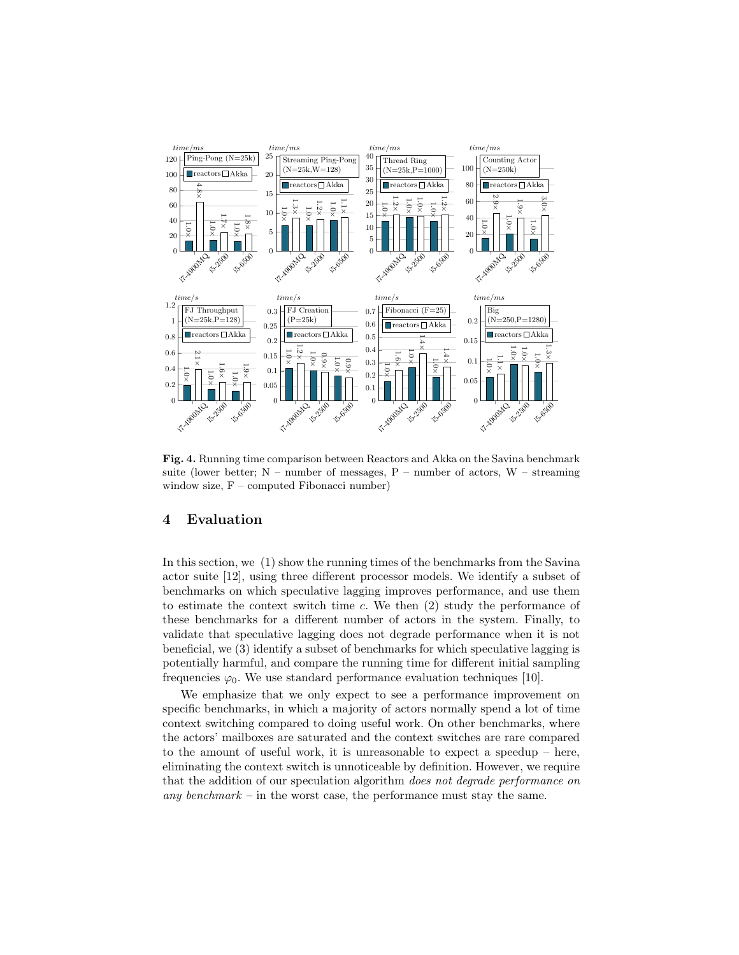

Fig. 4. Running time comparison between Reactors and Akka on the Savina benchmark suite (lower better;  $N -$  number of messages,  $P -$  number of actors,  $W -$  streaming window size,  $F$  – computed Fibonacci number)

## 4 Evaluation

In this section, we (1) show the running times of the benchmarks from the Savina actor suite [12], using three different processor models. We identify a subset of benchmarks on which speculative lagging improves performance, and use them to estimate the context switch time  $c$ . We then  $(2)$  study the performance of these benchmarks for a different number of actors in the system. Finally, to validate that speculative lagging does not degrade performance when it is not beneficial, we (3) identify a subset of benchmarks for which speculative lagging is potentially harmful, and compare the running time for different initial sampling frequencies  $\varphi_0$ . We use standard performance evaluation techniques [10].

We emphasize that we only expect to see a performance improvement on specific benchmarks, in which a majority of actors normally spend a lot of time context switching compared to doing useful work. On other benchmarks, where the actors' mailboxes are saturated and the context switches are rare compared to the amount of useful work, it is unreasonable to expect a speedup – here, eliminating the context switch is unnoticeable by definition. However, we require that the addition of our speculation algorithm does not degrade performance on any benchmark – in the worst case, the performance must stay the same.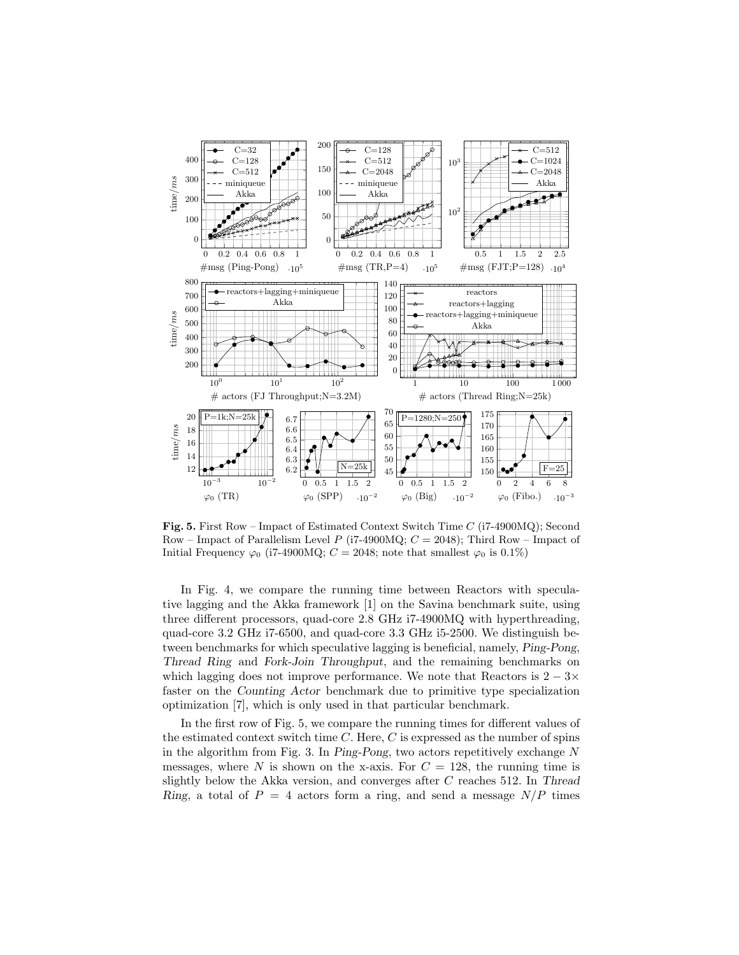

Fig. 5. First Row – Impact of Estimated Context Switch Time C (i7-4900MQ); Second Row – Impact of Parallelism Level P (i7-4900MQ;  $C = 2048$ ); Third Row – Impact of Initial Frequency  $\varphi_0$  (i7-4900MQ;  $C = 2048$ ; note that smallest  $\varphi_0$  is 0.1%)

In Fig. 4, we compare the running time between Reactors with speculative lagging and the Akka framework [1] on the Savina benchmark suite, using three different processors, quad-core 2.8 GHz i7-4900MQ with hyperthreading, quad-core 3.2 GHz i7-6500, and quad-core 3.3 GHz i5-2500. We distinguish between benchmarks for which speculative lagging is beneficial, namely, Ping-Pong, Thread Ring and Fork-Join Throughput, and the remaining benchmarks on which lagging does not improve performance. We note that Reactors is  $2 - 3 \times$ faster on the Counting Actor benchmark due to primitive type specialization optimization [7], which is only used in that particular benchmark.

In the first row of Fig. 5, we compare the running times for different values of the estimated context switch time  $C$ . Here,  $C$  is expressed as the number of spins in the algorithm from Fig. 3. In Ping-Pong, two actors repetitively exchange N messages, where N is shown on the x-axis. For  $C = 128$ , the running time is slightly below the Akka version, and converges after  $C$  reaches 512. In Thread Ring, a total of  $P = 4$  actors form a ring, and send a message  $N/P$  times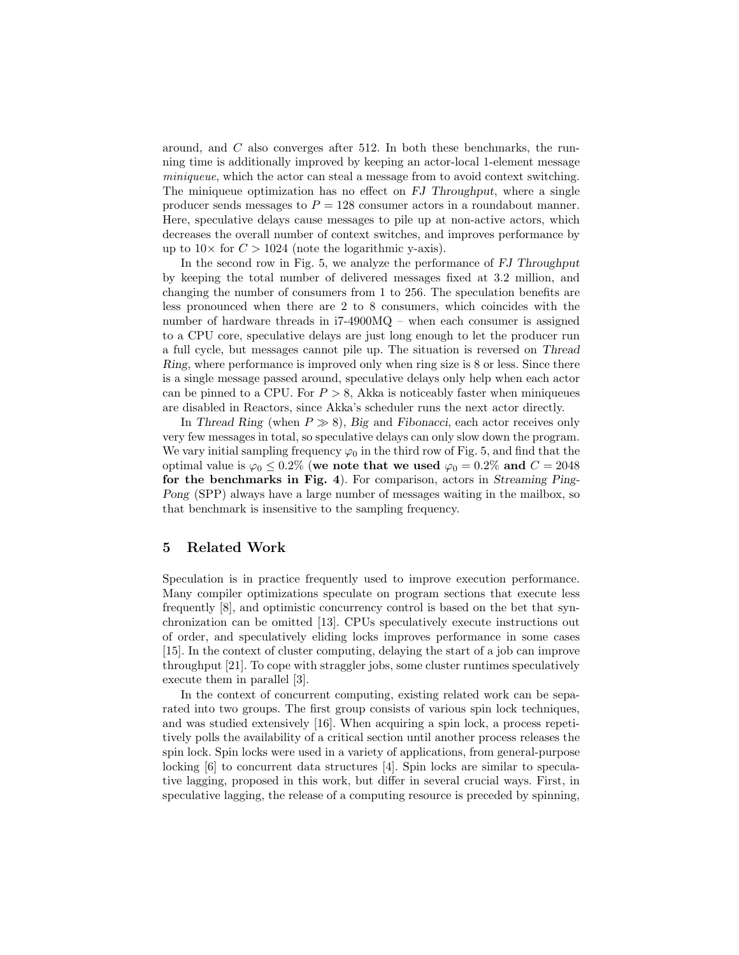around, and C also converges after 512. In both these benchmarks, the running time is additionally improved by keeping an actor-local 1-element message miniqueue, which the actor can steal a message from to avoid context switching. The miniqueue optimization has no effect on FJ Throughput, where a single producer sends messages to  $P = 128$  consumer actors in a roundabout manner. Here, speculative delays cause messages to pile up at non-active actors, which decreases the overall number of context switches, and improves performance by up to  $10\times$  for  $C > 1024$  (note the logarithmic y-axis).

In the second row in Fig. 5, we analyze the performance of FJ Throughput by keeping the total number of delivered messages fixed at 3.2 million, and changing the number of consumers from 1 to 256. The speculation benefits are less pronounced when there are 2 to 8 consumers, which coincides with the number of hardware threads in i7-4900MQ – when each consumer is assigned to a CPU core, speculative delays are just long enough to let the producer run a full cycle, but messages cannot pile up. The situation is reversed on Thread Ring, where performance is improved only when ring size is 8 or less. Since there is a single message passed around, speculative delays only help when each actor can be pinned to a CPU. For  $P > 8$ , Akka is noticeably faster when miniqueues are disabled in Reactors, since Akka's scheduler runs the next actor directly.

In Thread Ring (when  $P \gg 8$ ), Big and Fibonacci, each actor receives only very few messages in total, so speculative delays can only slow down the program. We vary initial sampling frequency  $\varphi_0$  in the third row of Fig. 5, and find that the optimal value is  $\varphi_0 \leq 0.2\%$  (we note that we used  $\varphi_0 = 0.2\%$  and  $C = 2048$ for the benchmarks in Fig. 4). For comparison, actors in Streaming Ping-Pong (SPP) always have a large number of messages waiting in the mailbox, so that benchmark is insensitive to the sampling frequency.

## 5 Related Work

Speculation is in practice frequently used to improve execution performance. Many compiler optimizations speculate on program sections that execute less frequently [8], and optimistic concurrency control is based on the bet that synchronization can be omitted [13]. CPUs speculatively execute instructions out of order, and speculatively eliding locks improves performance in some cases [15]. In the context of cluster computing, delaying the start of a job can improve throughput [21]. To cope with straggler jobs, some cluster runtimes speculatively execute them in parallel [3].

In the context of concurrent computing, existing related work can be separated into two groups. The first group consists of various spin lock techniques, and was studied extensively [16]. When acquiring a spin lock, a process repetitively polls the availability of a critical section until another process releases the spin lock. Spin locks were used in a variety of applications, from general-purpose locking [6] to concurrent data structures [4]. Spin locks are similar to speculative lagging, proposed in this work, but differ in several crucial ways. First, in speculative lagging, the release of a computing resource is preceded by spinning,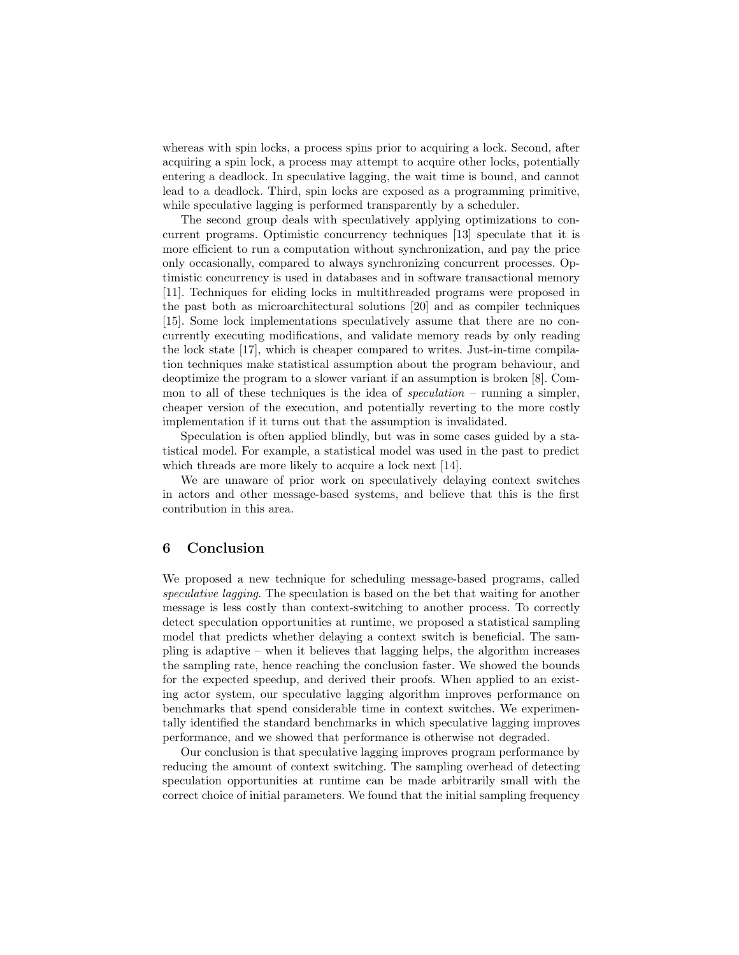whereas with spin locks, a process spins prior to acquiring a lock. Second, after acquiring a spin lock, a process may attempt to acquire other locks, potentially entering a deadlock. In speculative lagging, the wait time is bound, and cannot lead to a deadlock. Third, spin locks are exposed as a programming primitive, while speculative lagging is performed transparently by a scheduler.

The second group deals with speculatively applying optimizations to concurrent programs. Optimistic concurrency techniques [13] speculate that it is more efficient to run a computation without synchronization, and pay the price only occasionally, compared to always synchronizing concurrent processes. Optimistic concurrency is used in databases and in software transactional memory [11]. Techniques for eliding locks in multithreaded programs were proposed in the past both as microarchitectural solutions [20] and as compiler techniques [15]. Some lock implementations speculatively assume that there are no concurrently executing modifications, and validate memory reads by only reading the lock state [17], which is cheaper compared to writes. Just-in-time compilation techniques make statistical assumption about the program behaviour, and deoptimize the program to a slower variant if an assumption is broken [8]. Common to all of these techniques is the idea of speculation – running a simpler, cheaper version of the execution, and potentially reverting to the more costly implementation if it turns out that the assumption is invalidated.

Speculation is often applied blindly, but was in some cases guided by a statistical model. For example, a statistical model was used in the past to predict which threads are more likely to acquire a lock next [14].

We are unaware of prior work on speculatively delaying context switches in actors and other message-based systems, and believe that this is the first contribution in this area.

## 6 Conclusion

We proposed a new technique for scheduling message-based programs, called speculative lagging. The speculation is based on the bet that waiting for another message is less costly than context-switching to another process. To correctly detect speculation opportunities at runtime, we proposed a statistical sampling model that predicts whether delaying a context switch is beneficial. The sampling is adaptive – when it believes that lagging helps, the algorithm increases the sampling rate, hence reaching the conclusion faster. We showed the bounds for the expected speedup, and derived their proofs. When applied to an existing actor system, our speculative lagging algorithm improves performance on benchmarks that spend considerable time in context switches. We experimentally identified the standard benchmarks in which speculative lagging improves performance, and we showed that performance is otherwise not degraded.

Our conclusion is that speculative lagging improves program performance by reducing the amount of context switching. The sampling overhead of detecting speculation opportunities at runtime can be made arbitrarily small with the correct choice of initial parameters. We found that the initial sampling frequency